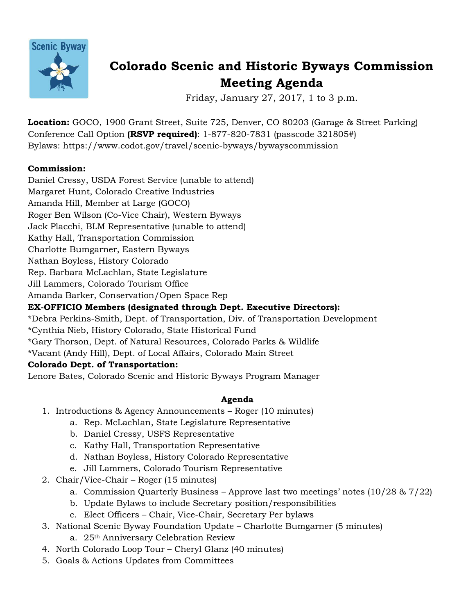

# **Colorado Scenic and Historic Byways Commission Meeting Agenda**

Friday, January 27, 2017, 1 to 3 p.m.

**Location:** GOCO, 1900 Grant Street, Suite 725, Denver, CO 80203 (Garage & Street Parking) Conference Call Option **(RSVP required)**: 1-877-820-7831 (passcode 321805#) Bylaws: https://www.codot.gov/travel/scenic-byways/bywayscommission

# **Commission:**

Daniel Cressy, USDA Forest Service (unable to attend) Margaret Hunt, Colorado Creative Industries Amanda Hill, Member at Large (GOCO) Roger Ben Wilson (Co-Vice Chair), Western Byways Jack Placchi, BLM Representative (unable to attend) Kathy Hall, Transportation Commission Charlotte Bumgarner, Eastern Byways Nathan Boyless, History Colorado Rep. Barbara McLachlan, State Legislature Jill Lammers, Colorado Tourism Office Amanda Barker, Conservation/Open Space Rep **EX-OFFICIO Members (designated through Dept. Executive Directors):** \*Debra Perkins-Smith, Dept. of Transportation, Div. of Transportation Development

\*Cynthia Nieb, History Colorado, State Historical Fund \*Gary Thorson, Dept. of Natural Resources, Colorado Parks & Wildlife \*Vacant (Andy Hill), Dept. of Local Affairs, Colorado Main Street

# **Colorado Dept. of Transportation:**

Lenore Bates, Colorado Scenic and Historic Byways Program Manager

# **Agenda**

- 1. Introductions & Agency Announcements Roger (10 minutes)
	- a. Rep. McLachlan, State Legislature Representative
	- b. Daniel Cressy, USFS Representative
	- c. Kathy Hall, Transportation Representative
	- d. Nathan Boyless, History Colorado Representative
	- e. Jill Lammers, Colorado Tourism Representative
- 2. Chair/Vice-Chair Roger (15 minutes)
	- a. Commission Quarterly Business Approve last two meetings' notes (10/28 & 7/22)
	- b. Update Bylaws to include Secretary position/responsibilities
	- c. Elect Officers Chair, Vice-Chair, Secretary Per bylaws
- 3. National Scenic Byway Foundation Update Charlotte Bumgarner (5 minutes)
	- a. 25th Anniversary Celebration Review
- 4. North Colorado Loop Tour Cheryl Glanz (40 minutes)
- 5. Goals & Actions Updates from Committees